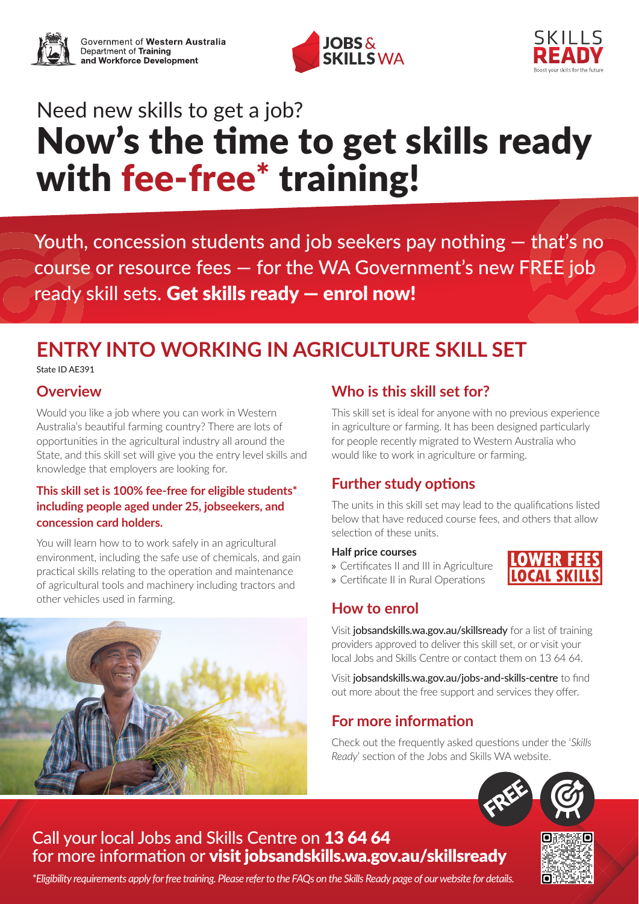





# Need new skills to get a job? Now's the time to get skills ready with fee-free<sup>\*</sup> training!

Youth, concession students and job seekers pay nothing — that's no course or resource fees — for the WA Government's new FREE job ready skill sets. Get skills ready — enrol now!

# **ENTRY INTO WORKING IN AGRICULTURE SKILL SET**

State ID AE391

#### **Overview**

Would you like a job where you can work in Western Australia's beautiful farming country? There are lots of opportunities in the agricultural industry all around the State, and this skill set will give you the entry level skills and knowledge that employers are looking for.

#### **This skill set is 100% fee-free for eligible students\* including people aged under 25, jobseekers, and concession card holders.**

You will learn how to to work safely in an agricultural environment, including the safe use of chemicals, and gain practical skills relating to the operation and maintenance of agricultural tools and machinery including tractors and other vehicles used in farming.



# **Who is this skill set for?**

This skill set is ideal for anyone with no previous experience in agriculture or farming. It has been designed particularly for people recently migrated to Western Australia who would like to work in agriculture or farming.

## **Further study options**

The units in this skill set may lead to the qualifications listed below that have reduced course fees, and others that allow selection of these units.

#### **Half price courses**



» Certificates II and III in Agriculture » Certificate II in Rural Operations

## **How to enrol**

Visit jobsandskills.wa.gov.au/skillsready for a list of training providers approved to deliver this skill set, or or visit your local Jobs and Skills Centre or contact them on 13 64 64.

Visit [jobsandskills.wa.gov.au/jobs-and-skills-centre](http://jobsandskills.wa.gov.au/jobs-and-skills-centre) to find out more about the free support and services they offer.

## **For more information**

Check out the frequently asked questions under the '*Skills Ready*' section of the Jobs and Skills WA website.



# Call your local Jobs and Skills Centre on 13 64 64 for more information or visit jobsandskills.wa.gov.au/skillsready

*\*Eligibility requirements apply for free training. Please refer to the FAQs on the Skills Ready page of our website for details.*